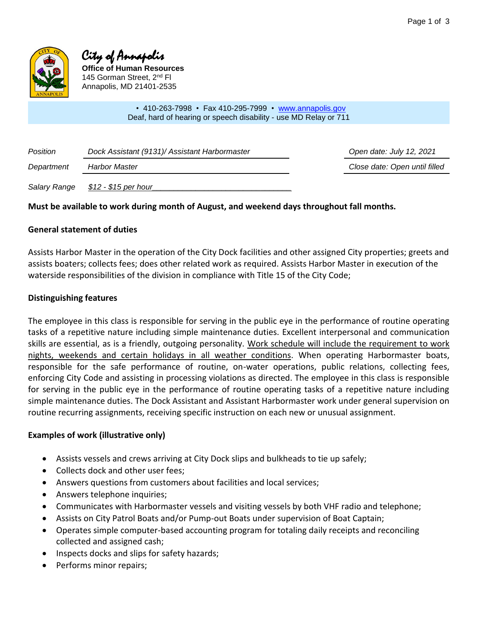



**Office of Human Resources** 145 Gorman Street, 2<sup>nd</sup> Fl Annapolis, MD 21401-2535

> • 410-263-7998 • Fax 410-295-7999 • [www.annapolis.gov](http://www.annapolis.gov/) Deaf, hard of hearing or speech disability - use MD Relay or 711

| <b>Position</b> | Dock Assistant (9131)/ Assistant Harbormaster | Open date: July 12, 2021      |
|-----------------|-----------------------------------------------|-------------------------------|
| Department      | <b>Harbor Master</b>                          | Close date: Open until filled |
| Salary Range    | \$12 - \$15 per hour_                         |                               |

# **Must be available to work during month of August, and weekend days throughout fall months.**

## **General statement of duties**

Assists Harbor Master in the operation of the City Dock facilities and other assigned City properties; greets and assists boaters; collects fees; does other related work as required. Assists Harbor Master in execution of the waterside responsibilities of the division in compliance with Title 15 of the City Code;

#### **Distinguishing features**

The employee in this class is responsible for serving in the public eye in the performance of routine operating tasks of a repetitive nature including simple maintenance duties. Excellent interpersonal and communication skills are essential, as is a friendly, outgoing personality. Work schedule will include the requirement to work nights, weekends and certain holidays in all weather conditions. When operating Harbormaster boats, responsible for the safe performance of routine, on-water operations, public relations, collecting fees, enforcing City Code and assisting in processing violations as directed. The employee in this class is responsible for serving in the public eye in the performance of routine operating tasks of a repetitive nature including simple maintenance duties. The Dock Assistant and Assistant Harbormaster work under general supervision on routine recurring assignments, receiving specific instruction on each new or unusual assignment.

## **Examples of work (illustrative only)**

- Assists vessels and crews arriving at City Dock slips and bulkheads to tie up safely;
- Collects dock and other user fees;
- Answers questions from customers about facilities and local services;
- Answers telephone inquiries;
- Communicates with Harbormaster vessels and visiting vessels by both VHF radio and telephone;
- Assists on City Patrol Boats and/or Pump-out Boats under supervision of Boat Captain;
- Operates simple computer-based accounting program for totaling daily receipts and reconciling collected and assigned cash;
- Inspects docks and slips for safety hazards;
- Performs minor repairs;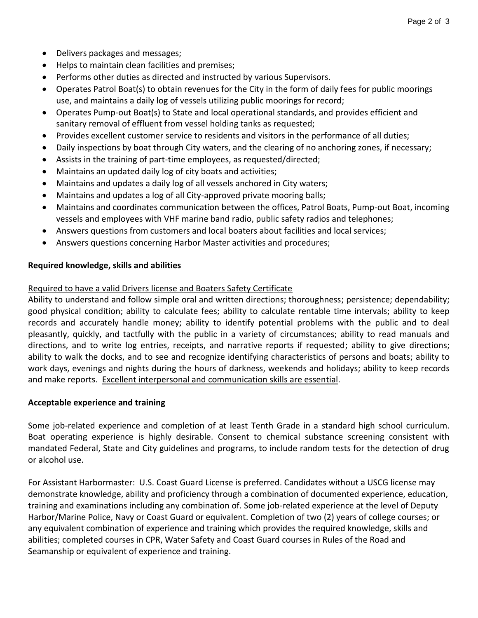- Delivers packages and messages;
- Helps to maintain clean facilities and premises;
- Performs other duties as directed and instructed by various Supervisors.
- Operates Patrol Boat(s) to obtain revenues for the City in the form of daily fees for public moorings use, and maintains a daily log of vessels utilizing public moorings for record;
- Operates Pump-out Boat(s) to State and local operational standards, and provides efficient and sanitary removal of effluent from vessel holding tanks as requested;
- Provides excellent customer service to residents and visitors in the performance of all duties;
- Daily inspections by boat through City waters, and the clearing of no anchoring zones, if necessary;
- Assists in the training of part-time employees, as requested/directed;
- Maintains an updated daily log of city boats and activities;
- Maintains and updates a daily log of all vessels anchored in City waters;
- Maintains and updates a log of all City-approved private mooring balls;
- Maintains and coordinates communication between the offices, Patrol Boats, Pump-out Boat, incoming vessels and employees with VHF marine band radio, public safety radios and telephones;
- Answers questions from customers and local boaters about facilities and local services;
- Answers questions concerning Harbor Master activities and procedures;

# **Required knowledge, skills and abilities**

# Required to have a valid Drivers license and Boaters Safety Certificate

Ability to understand and follow simple oral and written directions; thoroughness; persistence; dependability; good physical condition; ability to calculate fees; ability to calculate rentable time intervals; ability to keep records and accurately handle money; ability to identify potential problems with the public and to deal pleasantly, quickly, and tactfully with the public in a variety of circumstances; ability to read manuals and directions, and to write log entries, receipts, and narrative reports if requested; ability to give directions; ability to walk the docks, and to see and recognize identifying characteristics of persons and boats; ability to work days, evenings and nights during the hours of darkness, weekends and holidays; ability to keep records and make reports. Excellent interpersonal and communication skills are essential.

## **Acceptable experience and training**

Some job-related experience and completion of at least Tenth Grade in a standard high school curriculum. Boat operating experience is highly desirable. Consent to chemical substance screening consistent with mandated Federal, State and City guidelines and programs, to include random tests for the detection of drug or alcohol use.

For Assistant Harbormaster: U.S. Coast Guard License is preferred. Candidates without a USCG license may demonstrate knowledge, ability and proficiency through a combination of documented experience, education, training and examinations including any combination of. Some job-related experience at the level of Deputy Harbor/Marine Police, Navy or Coast Guard or equivalent. Completion of two (2) years of college courses; or any equivalent combination of experience and training which provides the required knowledge, skills and abilities; completed courses in CPR, Water Safety and Coast Guard courses in Rules of the Road and Seamanship or equivalent of experience and training.